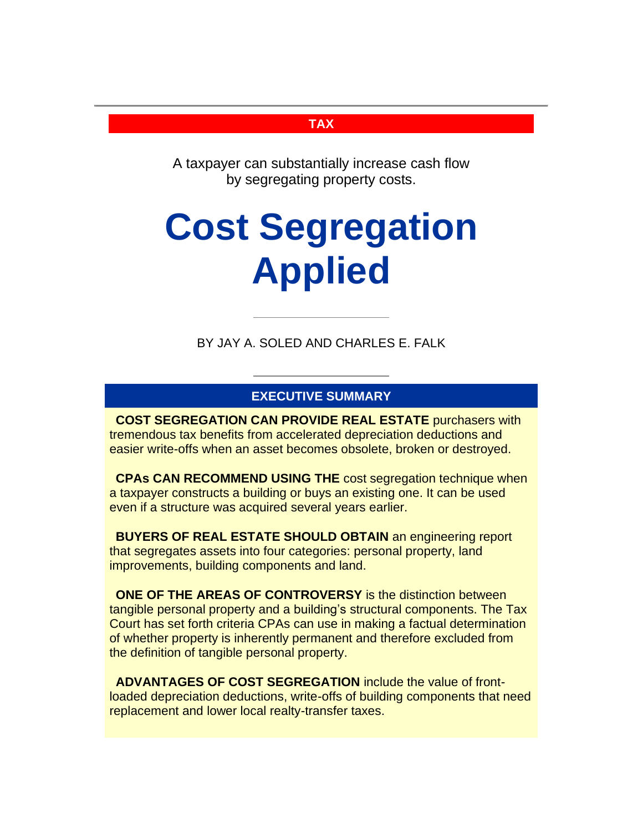# **TAX**

A taxpayer can substantially increase cash flow by segregating property costs.

# **Cost Segregation Applied**

BY JAY A. SOLED AND CHARLES E. FALK

# **EXECUTIVE SUMMARY**

**COST SEGREGATION CAN PROVIDE REAL ESTATE** purchasers with tremendous tax benefits from accelerated depreciation deductions and easier write-offs when an asset becomes obsolete, broken or destroyed.

**CPAs CAN RECOMMEND USING THE** cost segregation technique when a taxpayer constructs a building or buys an existing one. It can be used even if a structure was acquired several years earlier.

**BUYERS OF REAL ESTATE SHOULD OBTAIN** an engineering report that segregates assets into four categories: personal property, land improvements, building components and land.

**ONE OF THE AREAS OF CONTROVERSY** is the distinction between tangible personal property and a building's structural components. The Tax Court has set forth criteria CPAs can use in making a factual determination of whether property is inherently permanent and therefore excluded from the definition of tangible personal property.

**ADVANTAGES OF COST SEGREGATION** include the value of frontloaded depreciation deductions, write-offs of building components that need replacement and lower local realty-transfer taxes.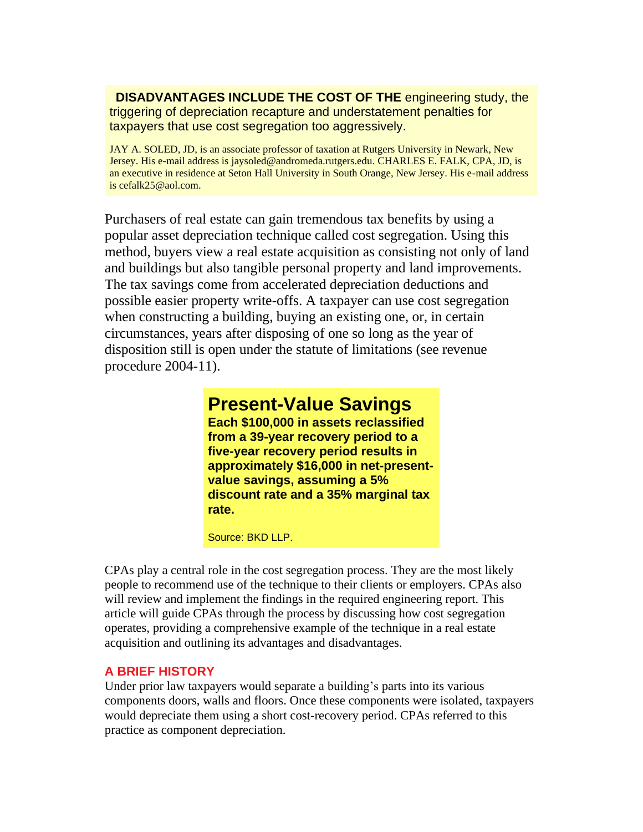**DISADVANTAGES INCLUDE THE COST OF THE** engineering study, the triggering of depreciation recapture and understatement penalties for taxpayers that use cost segregation too aggressively.

JAY A. SOLED, JD, is an associate professor of taxation at Rutgers University in Newark, New Jersey. His e-mail address is jaysoled@andromeda.rutgers.edu. CHARLES E. FALK, CPA, JD, is an executive in residence at Seton Hall University in South Orange, New Jersey. His e-mail address is cefalk25@aol.com.

Purchasers of real estate can gain tremendous tax benefits by using a popular asset depreciation technique called cost segregation. Using this method, buyers view a real estate acquisition as consisting not only of land and buildings but also tangible personal property and land improvements. The tax savings come from accelerated depreciation deductions and possible easier property write-offs. A taxpayer can use cost segregation when constructing a building, buying an existing one, or, in certain circumstances, years after disposing of one so long as the year of disposition still is open under the statute of limitations (see revenue procedure 2004-11).

# **Present-Value Savings**

**Each \$100,000 in assets reclassified from a 39-year recovery period to a five-year recovery period results in approximately \$16,000 in net-presentvalue savings, assuming a 5% discount rate and a 35% marginal tax rate.** 

Source: BKD LLP.

CPAs play a central role in the cost segregation process. They are the most likely people to recommend use of the technique to their clients or employers. CPAs also will review and implement the findings in the required engineering report. This article will guide CPAs through the process by discussing how cost segregation operates, providing a comprehensive example of the technique in a real estate acquisition and outlining its advantages and disadvantages.

# **A BRIEF HISTORY**

Under prior law taxpayers would separate a building's parts into its various components doors, walls and floors. Once these components were isolated, taxpayers would depreciate them using a short cost-recovery period. CPAs referred to this practice as component depreciation.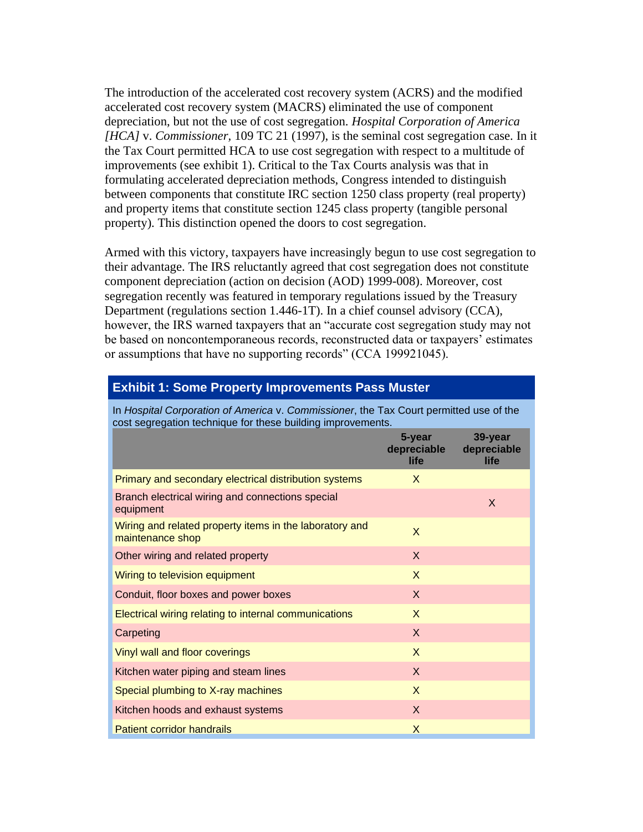The introduction of the accelerated cost recovery system (ACRS) and the modified accelerated cost recovery system (MACRS) eliminated the use of component depreciation, but not the use of cost segregation. *Hospital Corporation of America [HCA]* v. *Commissioner,* 109 TC 21 (1997), is the seminal cost segregation case. In it the Tax Court permitted HCA to use cost segregation with respect to a multitude of improvements (see exhibit 1). Critical to the Tax Courts analysis was that in formulating accelerated depreciation methods, Congress intended to distinguish between components that constitute IRC section 1250 class property (real property) and property items that constitute section 1245 class property (tangible personal property). This distinction opened the doors to cost segregation.

Armed with this victory, taxpayers have increasingly begun to use cost segregation to their advantage. The IRS reluctantly agreed that cost segregation does not constitute component depreciation (action on decision (AOD) 1999-008). Moreover, cost segregation recently was featured in temporary regulations issued by the Treasury Department (regulations section 1.446-1T). In a chief counsel advisory (CCA), however, the IRS warned taxpayers that an "accurate cost segregation study may not be based on noncontemporaneous records, reconstructed data or taxpayers' estimates or assumptions that have no supporting records" (CCA 199921045).

#### **Exhibit 1: Some Property Improvements Pass Muster**

In *Hospital Corporation of America* v. *Commissioner*, the Tax Court permitted use of the cost segregation technique for these building improvements.

|                                                                             | 5-year<br>depreciable<br>life | 39-year<br>depreciable<br><b>life</b> |
|-----------------------------------------------------------------------------|-------------------------------|---------------------------------------|
| Primary and secondary electrical distribution systems                       | X                             |                                       |
| Branch electrical wiring and connections special<br>equipment               |                               | $\mathsf{x}$                          |
| Wiring and related property items in the laboratory and<br>maintenance shop | X                             |                                       |
| Other wiring and related property                                           | $\mathsf{X}$                  |                                       |
| Wiring to television equipment                                              | X                             |                                       |
| Conduit, floor boxes and power boxes                                        | $\mathsf{X}$                  |                                       |
| Electrical wiring relating to internal communications                       | X                             |                                       |
| Carpeting                                                                   | X                             |                                       |
| Vinyl wall and floor coverings                                              | X                             |                                       |
| Kitchen water piping and steam lines                                        | $\mathsf{X}$                  |                                       |
| Special plumbing to X-ray machines                                          | $\mathsf{X}$                  |                                       |
| Kitchen hoods and exhaust systems                                           | $\mathsf{X}$                  |                                       |
| Patient corridor handrails                                                  | X                             |                                       |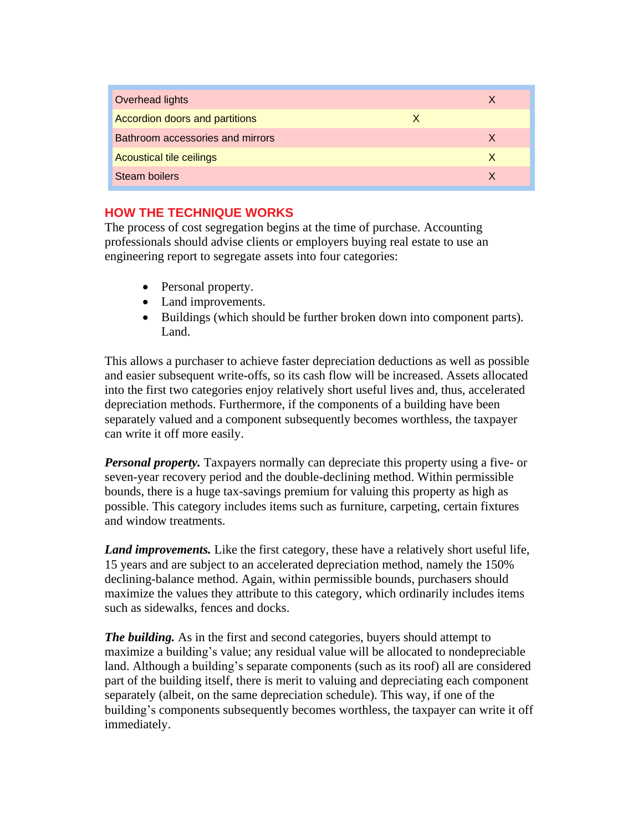| Overhead lights                  |   | X |
|----------------------------------|---|---|
| Accordion doors and partitions   | X |   |
| Bathroom accessories and mirrors |   | X |
| <b>Acoustical tile ceilings</b>  |   | X |
| Steam boilers                    |   | X |

# **HOW THE TECHNIQUE WORKS**

The process of cost segregation begins at the time of purchase. Accounting professionals should advise clients or employers buying real estate to use an engineering report to segregate assets into four categories:

- Personal property.
- Land improvements.
- Buildings (which should be further broken down into component parts). Land.

This allows a purchaser to achieve faster depreciation deductions as well as possible and easier subsequent write-offs, so its cash flow will be increased. Assets allocated into the first two categories enjoy relatively short useful lives and, thus, accelerated depreciation methods. Furthermore, if the components of a building have been separately valued and a component subsequently becomes worthless, the taxpayer can write it off more easily.

*Personal property.* Taxpayers normally can depreciate this property using a five- or seven-year recovery period and the double-declining method. Within permissible bounds, there is a huge tax-savings premium for valuing this property as high as possible. This category includes items such as furniture, carpeting, certain fixtures and window treatments.

*Land improvements.* Like the first category, these have a relatively short useful life, 15 years and are subject to an accelerated depreciation method, namely the 150% declining-balance method. Again, within permissible bounds, purchasers should maximize the values they attribute to this category, which ordinarily includes items such as sidewalks, fences and docks.

*The building.* As in the first and second categories, buyers should attempt to maximize a building's value; any residual value will be allocated to nondepreciable land. Although a building's separate components (such as its roof) all are considered part of the building itself, there is merit to valuing and depreciating each component separately (albeit, on the same depreciation schedule). This way, if one of the building's components subsequently becomes worthless, the taxpayer can write it off immediately.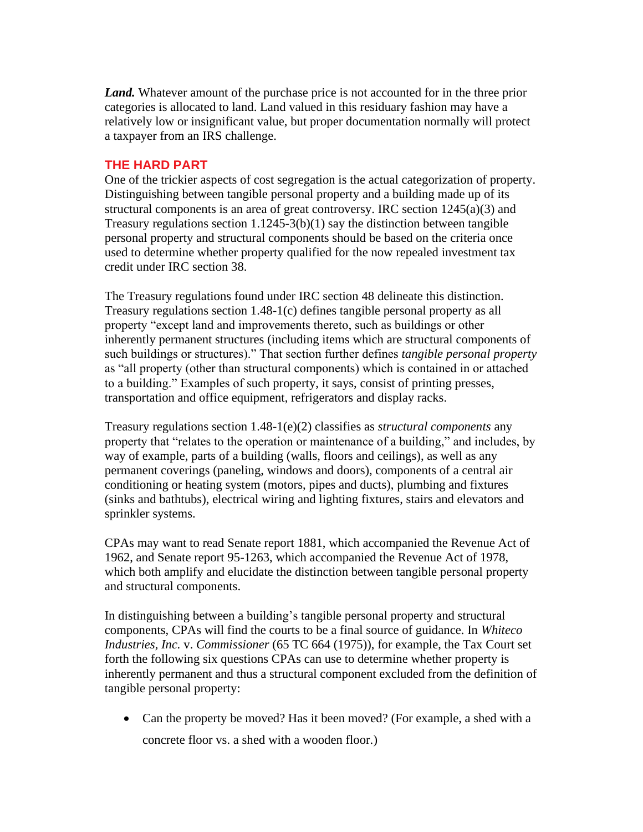*Land.* Whatever amount of the purchase price is not accounted for in the three prior categories is allocated to land. Land valued in this residuary fashion may have a relatively low or insignificant value, but proper documentation normally will protect a taxpayer from an IRS challenge.

## **THE HARD PART**

One of the trickier aspects of cost segregation is the actual categorization of property. Distinguishing between tangible personal property and a building made up of its structural components is an area of great controversy. IRC section 1245(a)(3) and Treasury regulations section  $1.1245-3(b)(1)$  say the distinction between tangible personal property and structural components should be based on the criteria once used to determine whether property qualified for the now repealed investment tax credit under IRC section 38.

The Treasury regulations found under IRC section 48 delineate this distinction. Treasury regulations section 1.48-1(c) defines tangible personal property as all property "except land and improvements thereto, such as buildings or other inherently permanent structures (including items which are structural components of such buildings or structures)." That section further defines *tangible personal property* as "all property (other than structural components) which is contained in or attached to a building." Examples of such property, it says, consist of printing presses, transportation and office equipment, refrigerators and display racks.

Treasury regulations section 1.48-1(e)(2) classifies as *structural components* any property that "relates to the operation or maintenance of a building," and includes, by way of example, parts of a building (walls, floors and ceilings), as well as any permanent coverings (paneling, windows and doors), components of a central air conditioning or heating system (motors, pipes and ducts), plumbing and fixtures (sinks and bathtubs), electrical wiring and lighting fixtures, stairs and elevators and sprinkler systems.

CPAs may want to read Senate report 1881, which accompanied the Revenue Act of 1962, and Senate report 95-1263, which accompanied the Revenue Act of 1978, which both amplify and elucidate the distinction between tangible personal property and structural components.

In distinguishing between a building's tangible personal property and structural components, CPAs will find the courts to be a final source of guidance. In *Whiteco Industries, Inc. v. Commissioner* (65 TC 664 (1975)), for example, the Tax Court set forth the following six questions CPAs can use to determine whether property is inherently permanent and thus a structural component excluded from the definition of tangible personal property:

• Can the property be moved? Has it been moved? (For example, a shed with a concrete floor vs. a shed with a wooden floor.)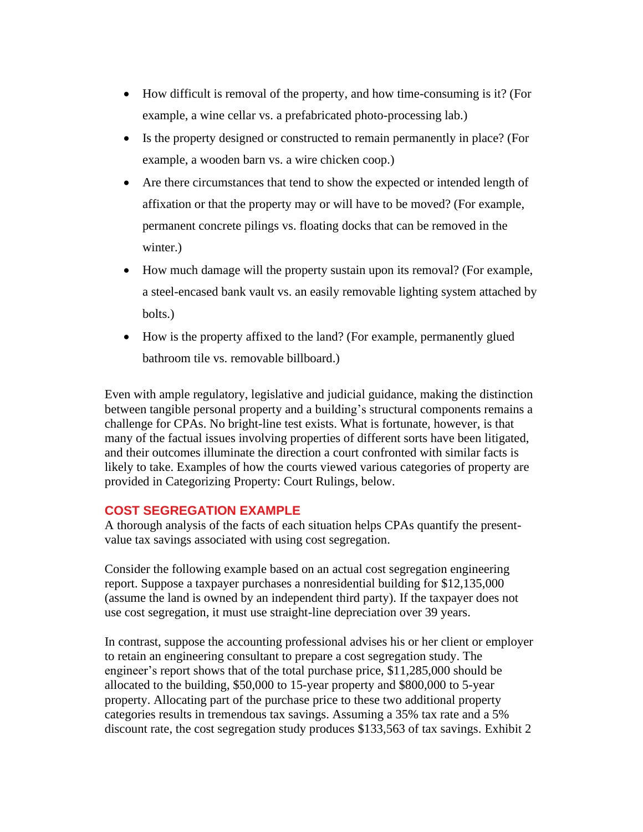- How difficult is removal of the property, and how time-consuming is it? (For example, a wine cellar vs. a prefabricated photo-processing lab.)
- Is the property designed or constructed to remain permanently in place? (For example, a wooden barn vs. a wire chicken coop.)
- Are there circumstances that tend to show the expected or intended length of affixation or that the property may or will have to be moved? (For example, permanent concrete pilings vs. floating docks that can be removed in the winter.)
- How much damage will the property sustain upon its removal? (For example, a steel-encased bank vault vs. an easily removable lighting system attached by bolts.)
- How is the property affixed to the land? (For example, permanently glued bathroom tile vs. removable billboard.)

Even with ample regulatory, legislative and judicial guidance, making the distinction between tangible personal property and a building's structural components remains a challenge for CPAs. No bright-line test exists. What is fortunate, however, is that many of the factual issues involving properties of different sorts have been litigated, and their outcomes illuminate the direction a court confronted with similar facts is likely to take. Examples of how the courts viewed various categories of property are provided in Categorizing Property: Court Rulings, below.

#### **COST SEGREGATION EXAMPLE**

A thorough analysis of the facts of each situation helps CPAs quantify the presentvalue tax savings associated with using cost segregation.

Consider the following example based on an actual cost segregation engineering report. Suppose a taxpayer purchases a nonresidential building for \$12,135,000 (assume the land is owned by an independent third party). If the taxpayer does not use cost segregation, it must use straight-line depreciation over 39 years.

In contrast, suppose the accounting professional advises his or her client or employer to retain an engineering consultant to prepare a cost segregation study. The engineer's report shows that of the total purchase price, \$11,285,000 should be allocated to the building, \$50,000 to 15-year property and \$800,000 to 5-year property. Allocating part of the purchase price to these two additional property categories results in tremendous tax savings. Assuming a 35% tax rate and a 5% discount rate, the cost segregation study produces \$133,563 of tax savings. Exhibit 2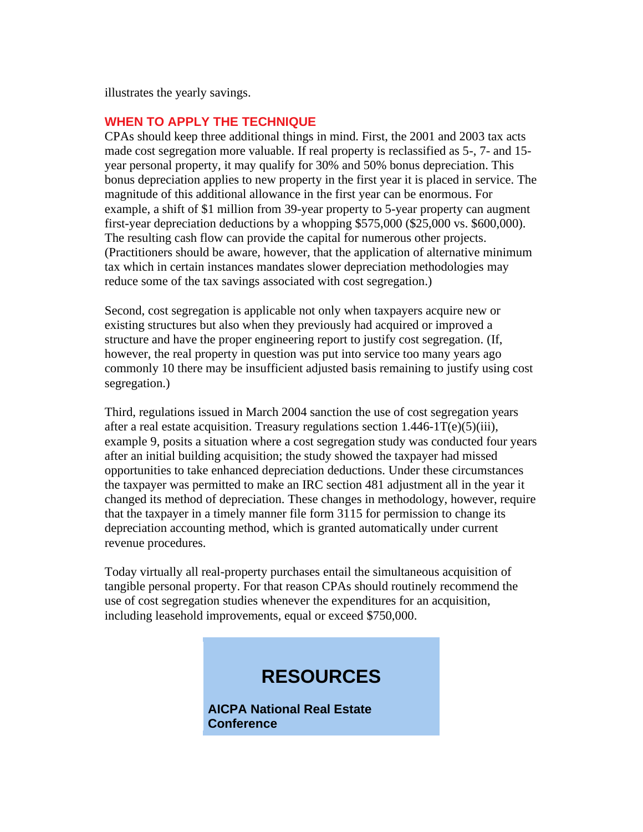illustrates the yearly savings.

# **WHEN TO APPLY THE TECHNIQUE**

CPAs should keep three additional things in mind. First, the 2001 and 2003 tax acts made cost segregation more valuable. If real property is reclassified as 5-, 7- and 15 year personal property, it may qualify for 30% and 50% bonus depreciation. This bonus depreciation applies to new property in the first year it is placed in service. The magnitude of this additional allowance in the first year can be enormous. For example, a shift of \$1 million from 39-year property to 5-year property can augment first-year depreciation deductions by a whopping \$575,000 (\$25,000 vs. \$600,000). The resulting cash flow can provide the capital for numerous other projects. (Practitioners should be aware, however, that the application of alternative minimum tax which in certain instances mandates slower depreciation methodologies may reduce some of the tax savings associated with cost segregation.)

Second, cost segregation is applicable not only when taxpayers acquire new or existing structures but also when they previously had acquired or improved a structure and have the proper engineering report to justify cost segregation. (If, however, the real property in question was put into service too many years ago commonly 10 there may be insufficient adjusted basis remaining to justify using cost segregation.)

Third, regulations issued in March 2004 sanction the use of cost segregation years after a real estate acquisition. Treasury regulations section  $1.446 \text{-} 1 \text{T}(e) (5)(iii)$ , example 9, posits a situation where a cost segregation study was conducted four years after an initial building acquisition; the study showed the taxpayer had missed opportunities to take enhanced depreciation deductions. Under these circumstances the taxpayer was permitted to make an IRC section 481 adjustment all in the year it changed its method of depreciation. These changes in methodology, however, require that the taxpayer in a timely manner file form 3115 for permission to change its depreciation accounting method, which is granted automatically under current revenue procedures.

Today virtually all real-property purchases entail the simultaneous acquisition of tangible personal property. For that reason CPAs should routinely recommend the use of cost segregation studies whenever the expenditures for an acquisition, including leasehold improvements, equal or exceed \$750,000.

# **RESOURCES**

**AICPA National Real Estate Conference**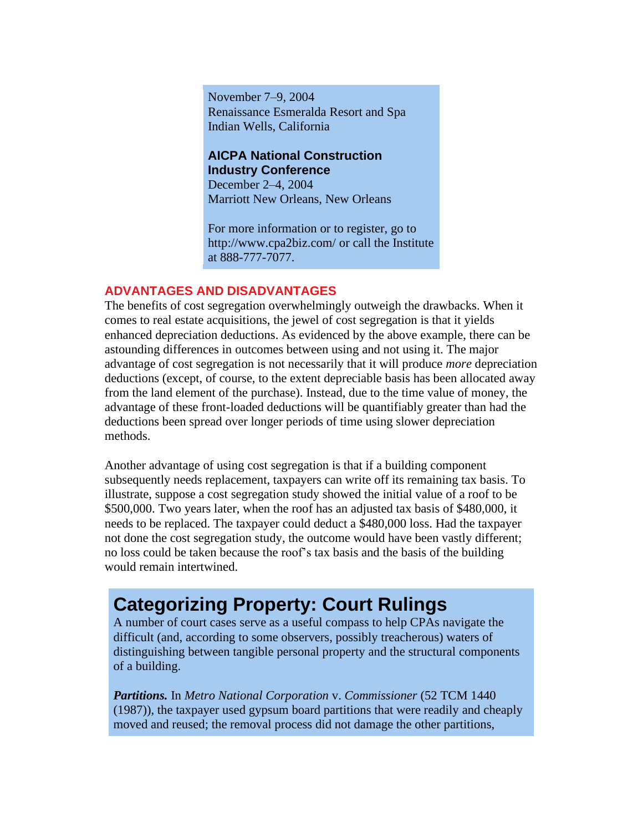November 7–9, 2004 Renaissance Esmeralda Resort and Spa Indian Wells, California

#### **AICPA National Construction Industry Conference**

December 2–4, 2004 Marriott New Orleans, New Orleans

For more information or to register, go to http://www.cpa2biz.com/ or call the Institute at 888-777-7077.

# **ADVANTAGES AND DISADVANTAGES**

The benefits of cost segregation overwhelmingly outweigh the drawbacks. When it comes to real estate acquisitions, the jewel of cost segregation is that it yields enhanced depreciation deductions. As evidenced by the above example, there can be astounding differences in outcomes between using and not using it. The major advantage of cost segregation is not necessarily that it will produce *more* depreciation deductions (except, of course, to the extent depreciable basis has been allocated away from the land element of the purchase). Instead, due to the time value of money, the advantage of these front-loaded deductions will be quantifiably greater than had the deductions been spread over longer periods of time using slower depreciation methods.

Another advantage of using cost segregation is that if a building component subsequently needs replacement, taxpayers can write off its remaining tax basis. To illustrate, suppose a cost segregation study showed the initial value of a roof to be \$500,000. Two years later, when the roof has an adjusted tax basis of \$480,000, it needs to be replaced. The taxpayer could deduct a \$480,000 loss. Had the taxpayer not done the cost segregation study, the outcome would have been vastly different; no loss could be taken because the roof's tax basis and the basis of the building would remain intertwined.

# **Categorizing Property: Court Rulings**

A number of court cases serve as a useful compass to help CPAs navigate the difficult (and, according to some observers, possibly treacherous) waters of distinguishing between tangible personal property and the structural components of a building.

*Partitions.* In *Metro National Corporation* v. *Commissioner* (52 TCM 1440 (1987)), the taxpayer used gypsum board partitions that were readily and cheaply moved and reused; the removal process did not damage the other partitions,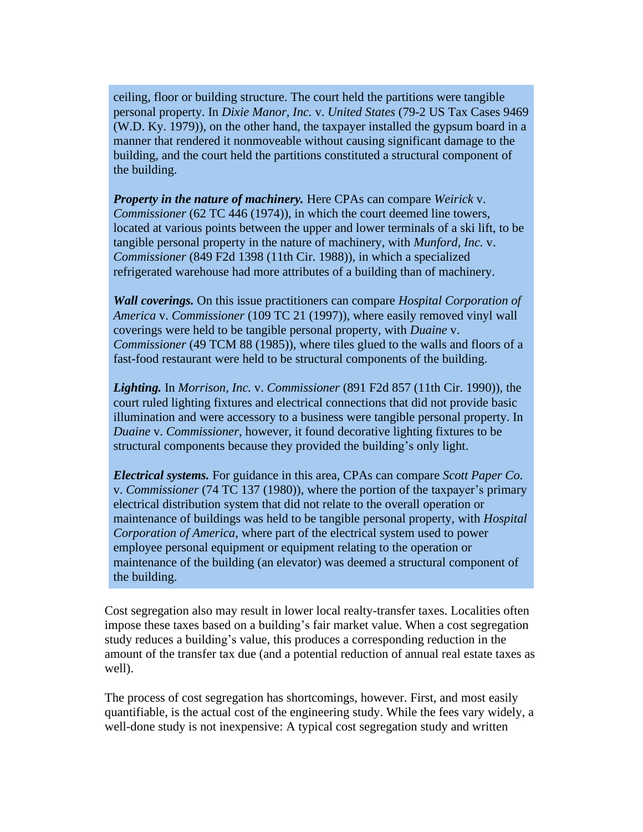ceiling, floor or building structure. The court held the partitions were tangible personal property. In *Dixie Manor, Inc.* v. *United States* (79-2 US Tax Cases 9469 (W.D. Ky. 1979)), on the other hand, the taxpayer installed the gypsum board in a manner that rendered it nonmoveable without causing significant damage to the building, and the court held the partitions constituted a structural component of the building.

*Property in the nature of machinery.* Here CPAs can compare *Weirick* v. *Commissioner* (62 TC 446 (1974)), in which the court deemed line towers, located at various points between the upper and lower terminals of a ski lift, to be tangible personal property in the nature of machinery, with *Munford, Inc.* v. *Commissioner* (849 F2d 1398 (11th Cir. 1988)), in which a specialized refrigerated warehouse had more attributes of a building than of machinery.

*Wall coverings.* On this issue practitioners can compare *Hospital Corporation of America* v. *Commissioner* (109 TC 21 (1997)), where easily removed vinyl wall coverings were held to be tangible personal property, with *Duaine* v. *Commissioner* (49 TCM 88 (1985)), where tiles glued to the walls and floors of a fast-food restaurant were held to be structural components of the building.

*Lighting.* In *Morrison, Inc.* v. *Commissioner* (891 F2d 857 (11th Cir. 1990)), the court ruled lighting fixtures and electrical connections that did not provide basic illumination and were accessory to a business were tangible personal property. In *Duaine* v. *Commissioner*, however, it found decorative lighting fixtures to be structural components because they provided the building's only light.

*Electrical systems.* For guidance in this area, CPAs can compare *Scott Paper Co.*  v. *Commissioner* (74 TC 137 (1980)), where the portion of the taxpayer's primary electrical distribution system that did not relate to the overall operation or maintenance of buildings was held to be tangible personal property, with *Hospital Corporation of America,* where part of the electrical system used to power employee personal equipment or equipment relating to the operation or maintenance of the building (an elevator) was deemed a structural component of the building.

Cost segregation also may result in lower local realty-transfer taxes. Localities often impose these taxes based on a building's fair market value. When a cost segregation study reduces a building's value, this produces a corresponding reduction in the amount of the transfer tax due (and a potential reduction of annual real estate taxes as well).

The process of cost segregation has shortcomings, however. First, and most easily quantifiable, is the actual cost of the engineering study. While the fees vary widely, a well-done study is not inexpensive: A typical cost segregation study and written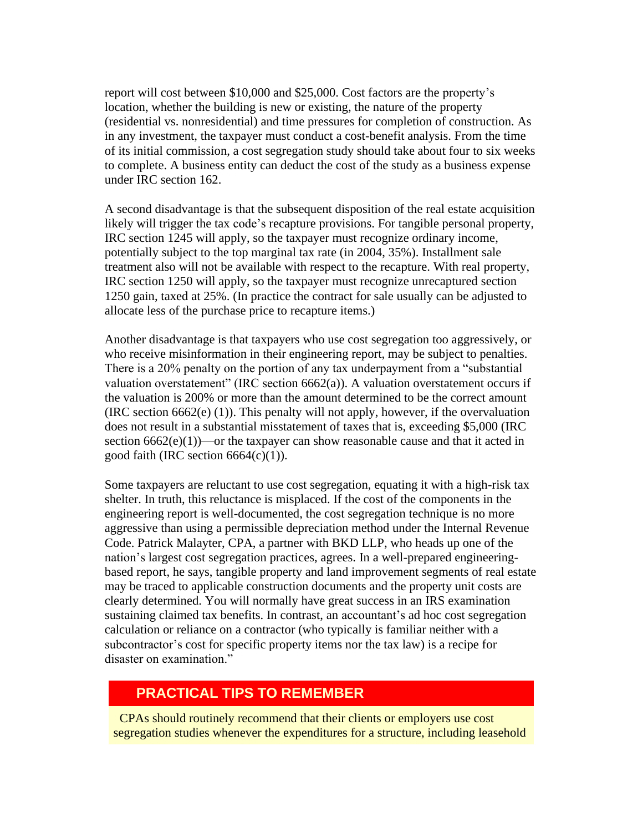report will cost between \$10,000 and \$25,000. Cost factors are the property's location, whether the building is new or existing, the nature of the property (residential vs. nonresidential) and time pressures for completion of construction. As in any investment, the taxpayer must conduct a cost-benefit analysis. From the time of its initial commission, a cost segregation study should take about four to six weeks to complete. A business entity can deduct the cost of the study as a business expense under IRC section 162.

A second disadvantage is that the subsequent disposition of the real estate acquisition likely will trigger the tax code's recapture provisions. For tangible personal property, IRC section 1245 will apply, so the taxpayer must recognize ordinary income, potentially subject to the top marginal tax rate (in 2004, 35%). Installment sale treatment also will not be available with respect to the recapture. With real property, IRC section 1250 will apply, so the taxpayer must recognize unrecaptured section 1250 gain, taxed at 25%. (In practice the contract for sale usually can be adjusted to allocate less of the purchase price to recapture items.)

Another disadvantage is that taxpayers who use cost segregation too aggressively, or who receive misinformation in their engineering report, may be subject to penalties. There is a 20% penalty on the portion of any tax underpayment from a "substantial valuation overstatement" (IRC section 6662(a)). A valuation overstatement occurs if the valuation is 200% or more than the amount determined to be the correct amount (IRC section 6662(e) (1)). This penalty will not apply, however, if the overvaluation does not result in a substantial misstatement of taxes that is, exceeding \$5,000 (IRC section  $6662(e)(1)$ —or the taxpayer can show reasonable cause and that it acted in good faith (IRC section  $6664(c)(1)$ ).

Some taxpayers are reluctant to use cost segregation, equating it with a high-risk tax shelter. In truth, this reluctance is misplaced. If the cost of the components in the engineering report is well-documented, the cost segregation technique is no more aggressive than using a permissible depreciation method under the Internal Revenue Code. Patrick Malayter, CPA, a partner with BKD LLP, who heads up one of the nation's largest cost segregation practices, agrees. In a well-prepared engineeringbased report, he says, tangible property and land improvement segments of real estate may be traced to applicable construction documents and the property unit costs are clearly determined. You will normally have great success in an IRS examination sustaining claimed tax benefits. In contrast, an accountant's ad hoc cost segregation calculation or reliance on a contractor (who typically is familiar neither with a subcontractor's cost for specific property items nor the tax law) is a recipe for disaster on examination."

# **PRACTICAL TIPS TO REMEMBER**

CPAs should routinely recommend that their clients or employers use cost segregation studies whenever the expenditures for a structure, including leasehold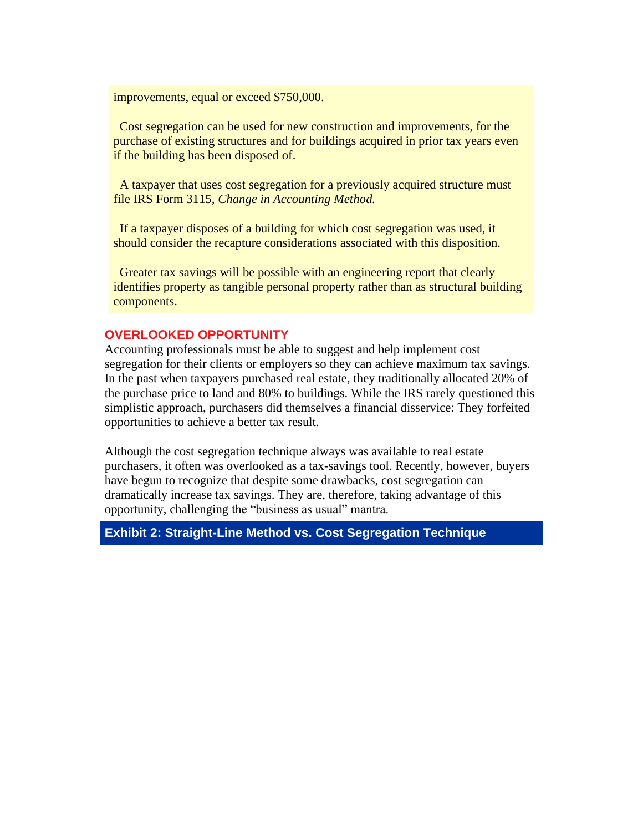improvements, equal or exceed \$750,000.

Cost segregation can be used for new construction and improvements, for the purchase of existing structures and for buildings acquired in prior tax years even if the building has been disposed of.

A taxpayer that uses cost segregation for a previously acquired structure must file IRS Form 3115, *Change in Accounting Method.* 

If a taxpayer disposes of a building for which cost segregation was used, it should consider the recapture considerations associated with this disposition.

Greater tax savings will be possible with an engineering report that clearly identifies property as tangible personal property rather than as structural building components.

#### **OVERLOOKED OPPORTUNITY**

Accounting professionals must be able to suggest and help implement cost segregation for their clients or employers so they can achieve maximum tax savings. In the past when taxpayers purchased real estate, they traditionally allocated 20% of the purchase price to land and 80% to buildings. While the IRS rarely questioned this simplistic approach, purchasers did themselves a financial disservice: They forfeited opportunities to achieve a better tax result.

Although the cost segregation technique always was available to real estate purchasers, it often was overlooked as a tax-savings tool. Recently, however, buyers have begun to recognize that despite some drawbacks, cost segregation can dramatically increase tax savings. They are, therefore, taking advantage of this opportunity, challenging the "business as usual" mantra.

## **Exhibit 2: Straight-Line Method vs. Cost Segregation Technique**